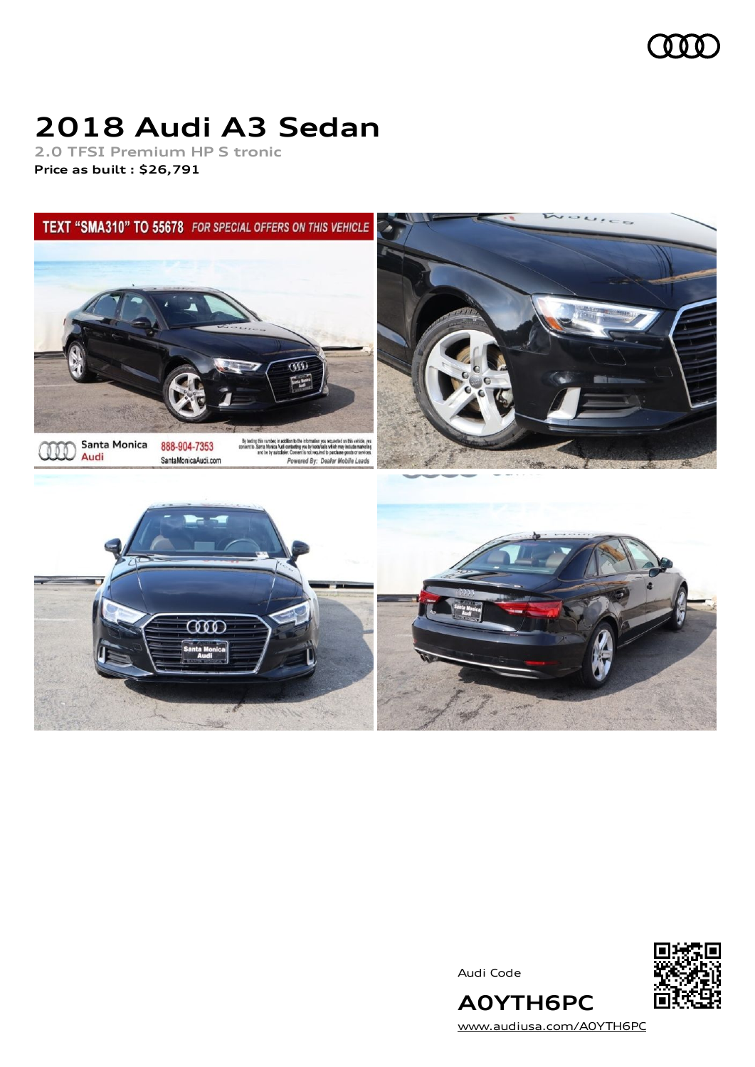

# **2018 Audi A3 Sedan**

**2.0 TFSI Premium HP S tronic Price as built [:](#page-10-0) \$26,791**





Audi Code



[www.audiusa.com/A0YTH6PC](https://www.audiusa.com/A0YTH6PC)

**A0YTH6PC**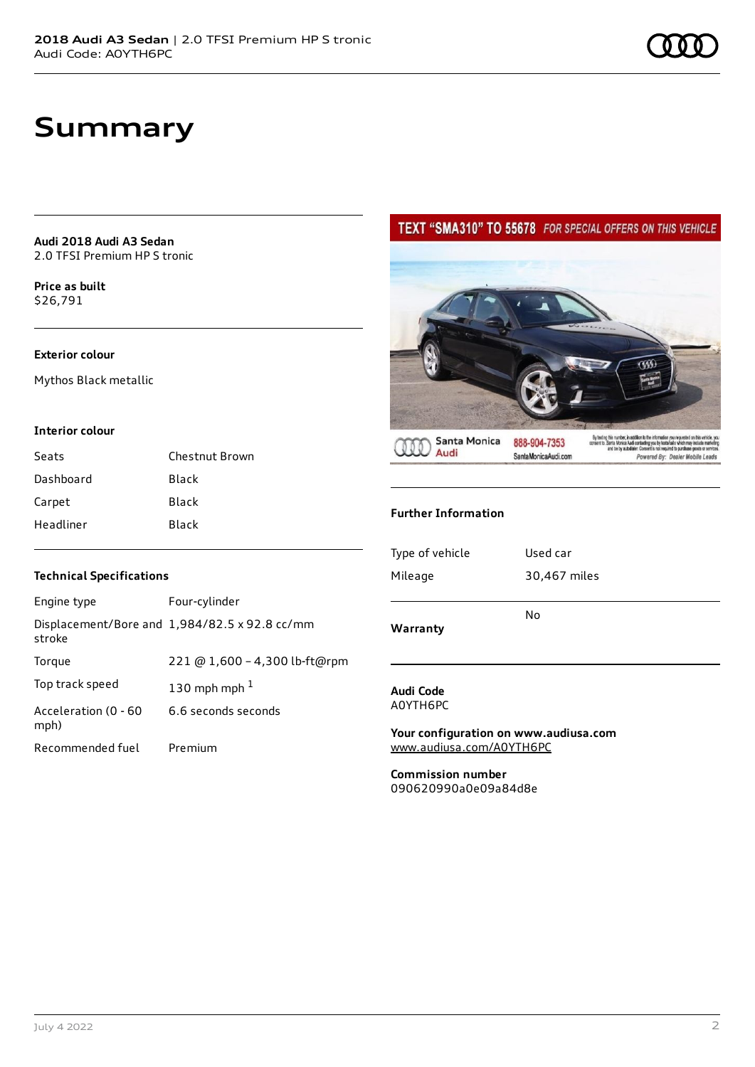**Audi 2018 Audi A3 Sedan** 2.0 TFSI Premium HP S tronic

**Price as buil[t](#page-10-0)** \$26,791

### **Exterior colour**

Mythos Black metallic

#### **Interior colour**

| Seats     | Chestnut Brown |
|-----------|----------------|
| Dashboard | Black          |
| Carpet    | <b>Black</b>   |
| Headliner | Black          |

### **Technical Specifications**

| Engine type                  | Four-cylinder                                 |
|------------------------------|-----------------------------------------------|
| stroke                       | Displacement/Bore and 1,984/82.5 x 92.8 cc/mm |
| Torque                       | 221 @ 1,600 - 4,300 lb-ft@rpm                 |
| Top track speed              | 130 mph mph $1$                               |
| Acceleration (0 - 60<br>mph) | 6.6 seconds seconds                           |
| Recommended fuel             | Premium                                       |

### TEXT "SMA310" TO 55678 FOR SPECIAL OFFERS ON THIS VEHICLE



**Further Information**

| Warranty        | No           |
|-----------------|--------------|
| Type of vehicle | Used car     |
| Mileage         | 30,467 miles |

#### **Audi Code** A0YTH6PC

**Your configuration on www.audiusa.com** [www.audiusa.com/A0YTH6PC](https://www.audiusa.com/A0YTH6PC)

**Commission number** 090620990a0e09a84d8e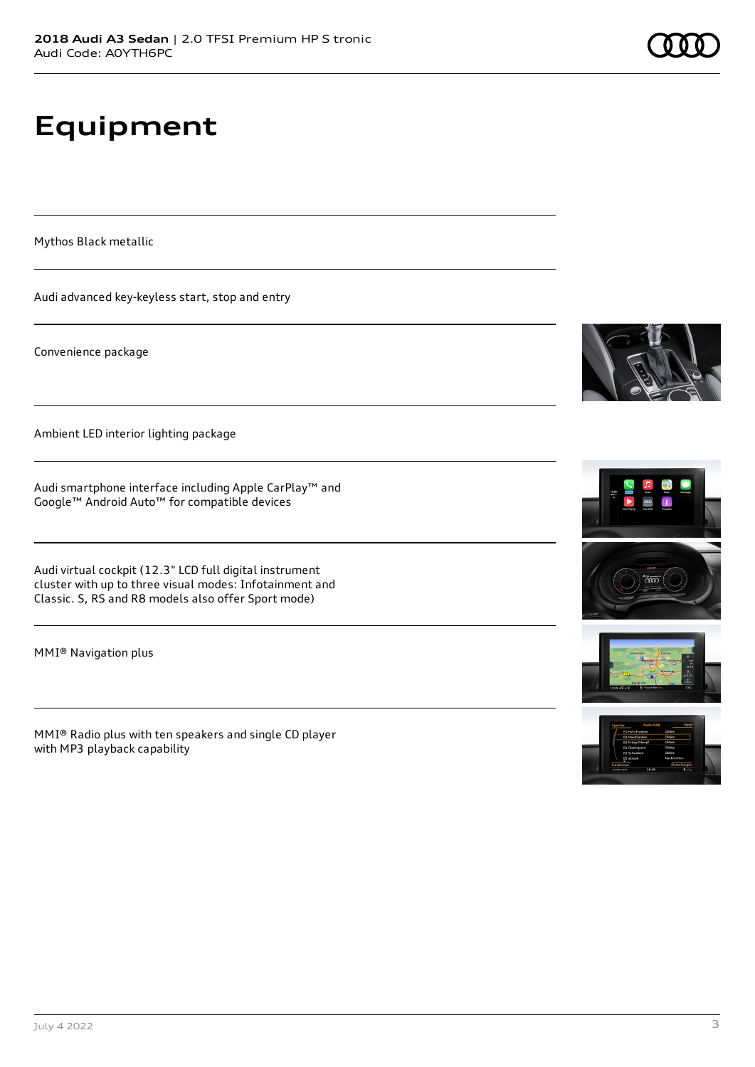# **Equipment**

Mythos Black metallic

Audi advanced key-keyless start, stop and entry

Convenience package

Ambient LED interior lighting package

Audi smartphone interface including Apple CarPlay™ and Google™ Android Auto™ for compatible devices

Audi virtual cockpit (12.3" LCD full digital instrument cluster with up to three visual modes: Infotainment and Classic. S, RS and R8 models also offer Sport mode)

MMI® Navigation plus

MMI® Radio plus with ten speakers and single CD player with MP3 playback capability









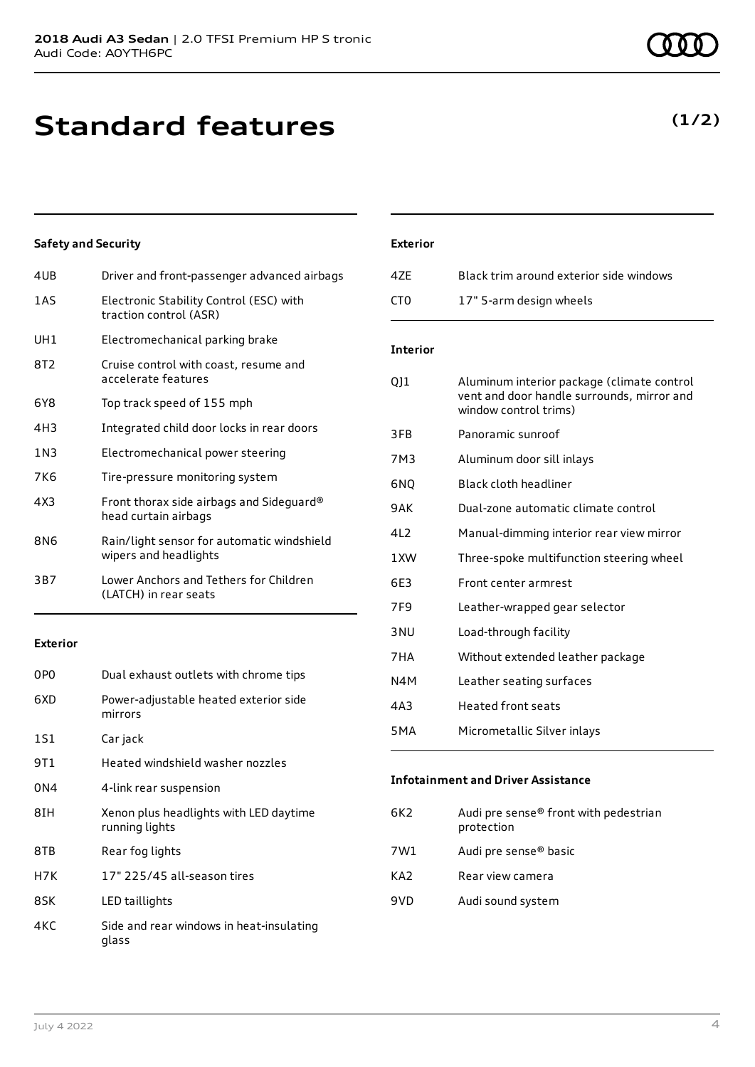## **Standard features**

### **Safety and Security**

| 4UB | Driver and front-passenger advanced airbags                         |
|-----|---------------------------------------------------------------------|
| 1AS | Electronic Stability Control (ESC) with<br>traction control (ASR)   |
| UH1 | Electromechanical parking brake                                     |
| 8T2 | Cruise control with coast, resume and<br>accelerate features        |
| 6Y8 | Top track speed of 155 mph                                          |
| 4H3 | Integrated child door locks in rear doors                           |
| 1N3 | Electromechanical power steering                                    |
| 7K6 | Tire-pressure monitoring system                                     |
| 4X3 | Front thorax side airbags and Sideguard®<br>head curtain airbags    |
| 8N6 | Rain/light sensor for automatic windshield<br>wipers and headlights |
| 3B7 | Lower Anchors and Tethers for Children<br>(LATCH) in rear seats     |
|     |                                                                     |

### **Exterior**

| 0P <sub>0</sub> | Dual exhaust outlets with chrome tips                    |
|-----------------|----------------------------------------------------------|
| 6XD             | Power-adjustable heated exterior side<br>mirrors         |
| 1S1             | Car jack                                                 |
| 9T 1            | Heated windshield washer nozzles                         |
| 0N4             | 4-link rear suspension                                   |
| 8IH             | Xenon plus headlights with LED daytime<br>running lights |
| 8TB             | Rear fog lights                                          |
| H7K             | 17" 225/45 all-season tires                              |
| 8SK             | LED taillights                                           |
| 4KC             | Side and rear windows in heat-insulating<br>glass        |

### **Exterior**

| 47F | Black trim around exterior side windows |
|-----|-----------------------------------------|
| CT0 | 17" 5-arm design wheels                 |

### **Interior**

| QJ1              | Aluminum interior package (climate control<br>vent and door handle surrounds, mirror and<br>window control trims) |
|------------------|-------------------------------------------------------------------------------------------------------------------|
| 3FB              | Panoramic sunroof                                                                                                 |
| 7M3              | Aluminum door sill inlays                                                                                         |
| 6NO              | Black cloth headliner                                                                                             |
| 9AK              | Dual-zone automatic climate control                                                                               |
| 412              | Manual-dimming interior rear view mirror                                                                          |
| 1XW              | Three-spoke multifunction steering wheel                                                                          |
| 6F3              | Front center armrest                                                                                              |
| 7F9              | Leather-wrapped gear selector                                                                                     |
| 3 <sub>NU</sub>  | Load-through facility                                                                                             |
| 7HA              | Without extended leather package                                                                                  |
| N4M              | Leather seating surfaces                                                                                          |
| 4A3              | <b>Heated front seats</b>                                                                                         |
| 5 <sub>M</sub> A | Micrometallic Silver inlays                                                                                       |
|                  |                                                                                                                   |

#### **Infotainment and Driver Assistance**

| 6K2 | Audi pre sense® front with pedestrian<br>protection |
|-----|-----------------------------------------------------|
| 7W1 | Audi pre sense <sup>®</sup> basic                   |
| KA2 | Rear view camera                                    |
| 9VD | Audi sound system                                   |
|     |                                                     |

### **(1/2)**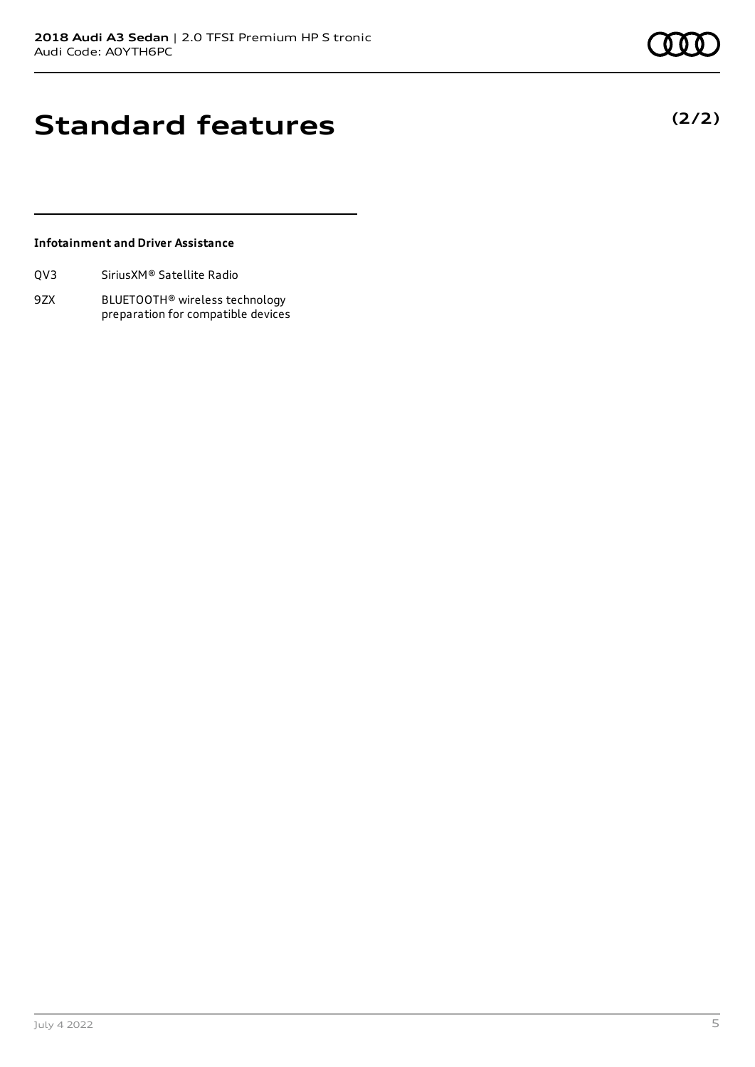**(2/2)**

### **Standard features**

### **Infotainment and Driver Assistance**

| QV3 | Sirius XM <sup>®</sup> Satellite Radio |  |
|-----|----------------------------------------|--|
|     |                                        |  |

9ZX BLUETOOTH® wireless technology preparation for compatible devices

July 4 2022 5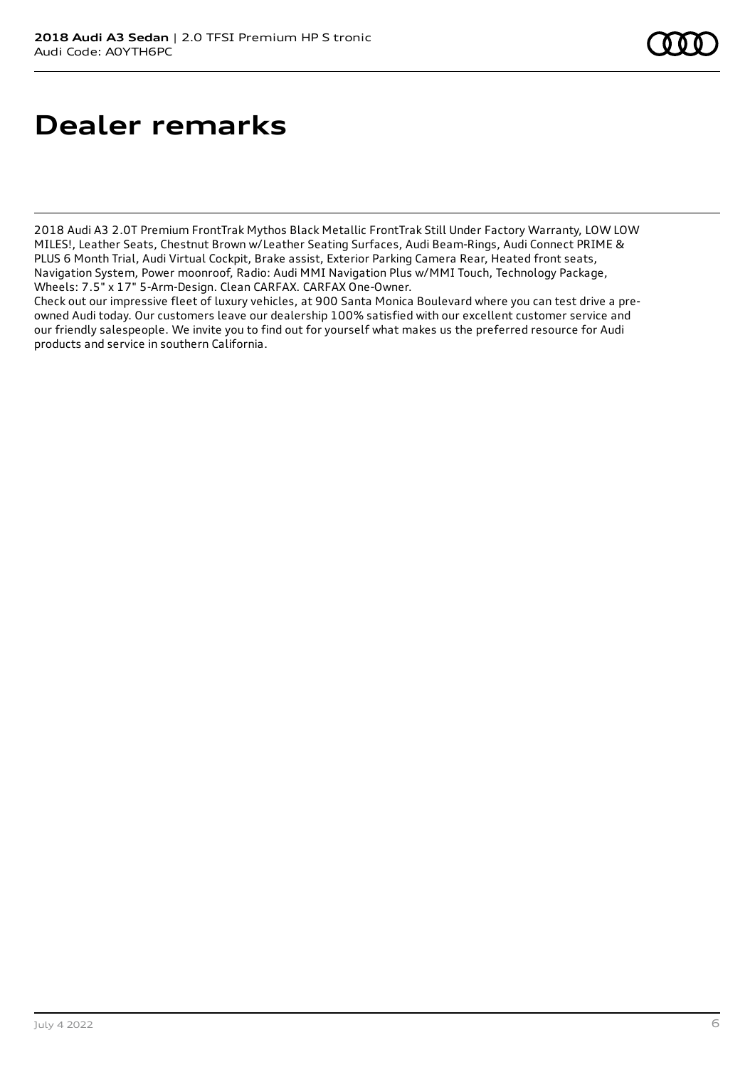## **Dealer remarks**

2018 Audi A3 2.0T Premium FrontTrak Mythos Black Metallic FrontTrak Still Under Factory Warranty, LOW LOW MILES!, Leather Seats, Chestnut Brown w/Leather Seating Surfaces, Audi Beam-Rings, Audi Connect PRIME & PLUS 6 Month Trial, Audi Virtual Cockpit, Brake assist, Exterior Parking Camera Rear, Heated front seats, Navigation System, Power moonroof, Radio: Audi MMI Navigation Plus w/MMI Touch, Technology Package, Wheels: 7.5" x 17" 5-Arm-Design. Clean CARFAX. CARFAX One-Owner.

Check out our impressive fleet of luxury vehicles, at 900 Santa Monica Boulevard where you can test drive a preowned Audi today. Our customers leave our dealership 100% satisfied with our excellent customer service and our friendly salespeople. We invite you to find out for yourself what makes us the preferred resource for Audi products and service in southern California.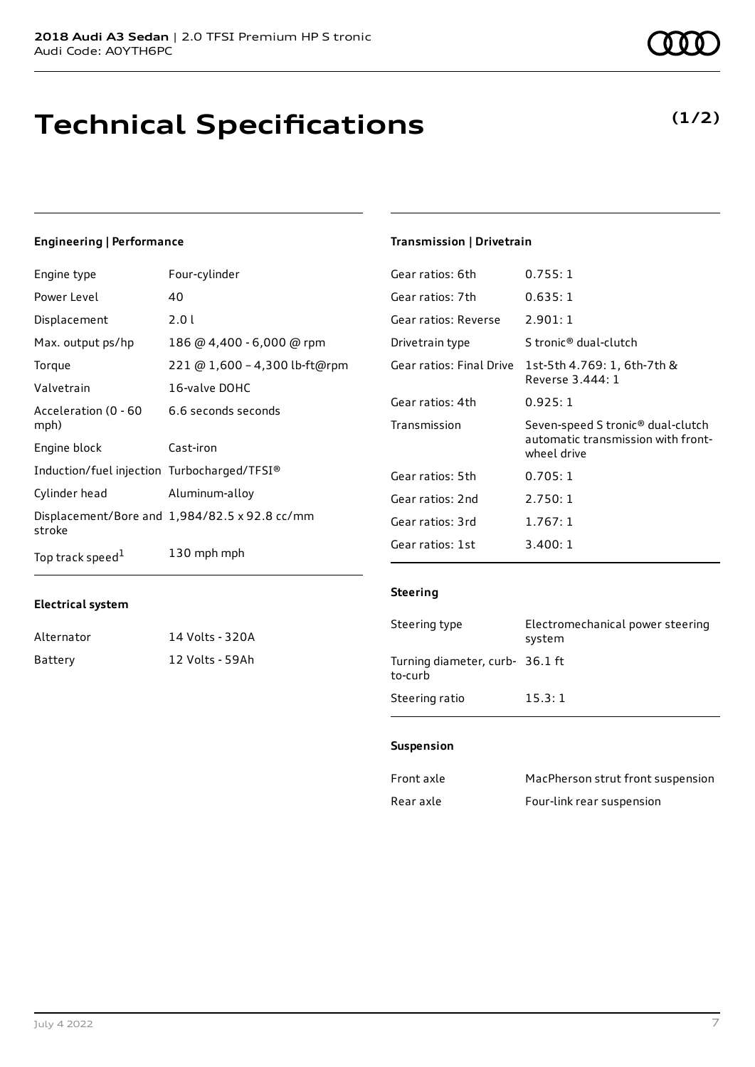## **Technical Specifications**

### **Engineering | Performance**

| Engine type                                 | Four-cylinder                                        | Gear ratios: 6th                                | 0.755:1                           |
|---------------------------------------------|------------------------------------------------------|-------------------------------------------------|-----------------------------------|
| Power Level                                 | 40                                                   | Gear ratios: 7th                                | 0.635:1                           |
| Displacement                                | 2.01                                                 | Gear ratios: Reverse                            | 2.901:1                           |
| Max. output ps/hp                           | 186 @ 4,400 - 6,000 @ rpm                            | Drivetrain type                                 | S tronic <sup>®</sup> dual-clutch |
| Torque                                      | 221 @ 1,600 - 4,300 lb-ft@rpm                        | Gear ratios: Final Drive                        | 1st-5th 4.769: 1, 6th-7th &       |
| Valvetrain                                  | 16-valve DOHC                                        |                                                 | Reverse 3.444: 1                  |
| Acceleration (0 - 60                        | 6.6 seconds seconds                                  | Gear ratios: 4th                                | 0.925:1                           |
| mph)                                        |                                                      | Transmission                                    | Seven-speed S tronic® dual-clutc  |
| Engine block                                | Cast-iron                                            | automatic transmission with fron<br>wheel drive |                                   |
| Induction/fuel injection Turbocharged/TFSI® |                                                      | Gear ratios: 5th                                | 0.705:1                           |
| Cylinder head                               | Aluminum-alloy                                       | Gear ratios: 2nd                                | 2.750:1                           |
| stroke                                      | Displacement/Bore and $1,984/82.5 \times 92.8$ cc/mm | Gear ratios: 3rd                                | 1.767:1                           |
| Top track speed <sup>1</sup>                | 130 mph mph                                          | Gear ratios: 1st                                | 3.400:1                           |

### **Electrical system**

| Alternator | 14 Volts - 320A |
|------------|-----------------|
| Battery    | 12 Volts - 59Ah |

### **Transmission | Drivetrain**

| Steering                 |                                                                                                    |
|--------------------------|----------------------------------------------------------------------------------------------------|
|                          |                                                                                                    |
| Gear ratios: 1st         | 3.400:1                                                                                            |
| Gear ratios: 3rd         | 1.767:1                                                                                            |
| Gear ratios: 2nd         | 2.750:1                                                                                            |
| Gear ratios: 5th         | 0.705:1                                                                                            |
| Transmission             | Seven-speed S tronic <sup>®</sup> dual-clutch<br>automatic transmission with front-<br>wheel drive |
| Gear ratios: 4th         | 0.925:1                                                                                            |
| Gear ratios: Final Drive | 1st-5th 4.769: 1, 6th-7th &<br>Reverse 3.444: 1                                                    |
| Drivetrain type          | S tronic® dual-clutch                                                                              |
| Gear ratios: Reverse     | 2.901:1                                                                                            |
|                          |                                                                                                    |

| Steering type                              | Electromechanical power steering<br>system |
|--------------------------------------------|--------------------------------------------|
| Turning diameter, curb- 36.1 ft<br>to-curb |                                            |
| Steering ratio                             | 15.3:1                                     |

#### **Suspension**

| Front axle | MacPherson strut front suspension |
|------------|-----------------------------------|
| Rear axle  | Four-link rear suspension         |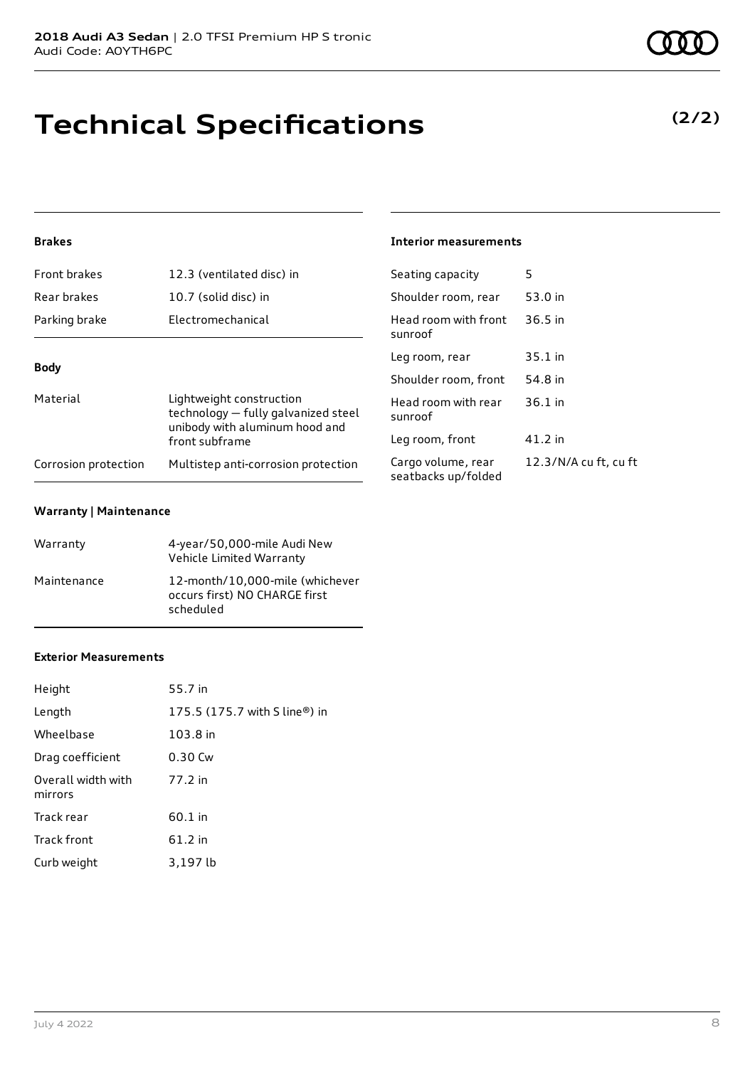# **Technical Specifications**

### **Brakes**

| <b>Front brakes</b><br>12.3 (ventilated disc) in |                                                                                                   | Seating capacity                       |  |
|--------------------------------------------------|---------------------------------------------------------------------------------------------------|----------------------------------------|--|
| Rear brakes                                      | 10.7 (solid disc) in                                                                              | Shoulder room, re                      |  |
| Parking brake                                    | Electromechanical                                                                                 | Head room with f<br>sunroof            |  |
| <b>Body</b>                                      |                                                                                                   | Leg room, rear                         |  |
|                                                  |                                                                                                   | Shoulder room, fr                      |  |
| Material                                         | Lightweight construction<br>technology - fully galvanized steel<br>unibody with aluminum hood and | Head room with r<br>sunroof            |  |
|                                                  | front subframe                                                                                    | Leg room, front                        |  |
| Corrosion protection                             | Multistep anti-corrosion protection                                                               | Cargo volume, rea<br>seatbacks un/fold |  |

#### **Warranty | Maintenance**

| Warranty    | 4-year/50,000-mile Audi New<br>Vehicle Limited Warranty                       |
|-------------|-------------------------------------------------------------------------------|
| Maintenance | 12-month/10,000-mile (whichever<br>occurs first) NO CHARGE first<br>scheduled |

### **Exterior Measurements**

| Height                        | 55.7 in                       |
|-------------------------------|-------------------------------|
| Length                        | 175.5 (175.7 with S line®) in |
| Wheelbase                     | 103.8 in                      |
| Drag coefficient              | 0.30 Cw                       |
| Overall width with<br>mirrors | 77.2 in                       |
| Track rear                    | 60.1 in                       |
| Track front                   | $61.2$ in                     |
| Curb weight                   | 3,197 lb                      |

### **Interior measurements**

| Seating capacity                          | 5                     |
|-------------------------------------------|-----------------------|
| Shoulder room, rear                       | 53.0 in               |
| Head room with front<br>sunroof           | $36.5$ in             |
| Leg room, rear                            | 35.1 in               |
| Shoulder room, front                      | 54.8 in               |
| Head room with rear<br>sunroof            | $36.1$ in             |
| Leg room, front                           | 41.2 in               |
| Cargo volume, rear<br>seatbacks up/folded | 12.3/N/A cu ft, cu ft |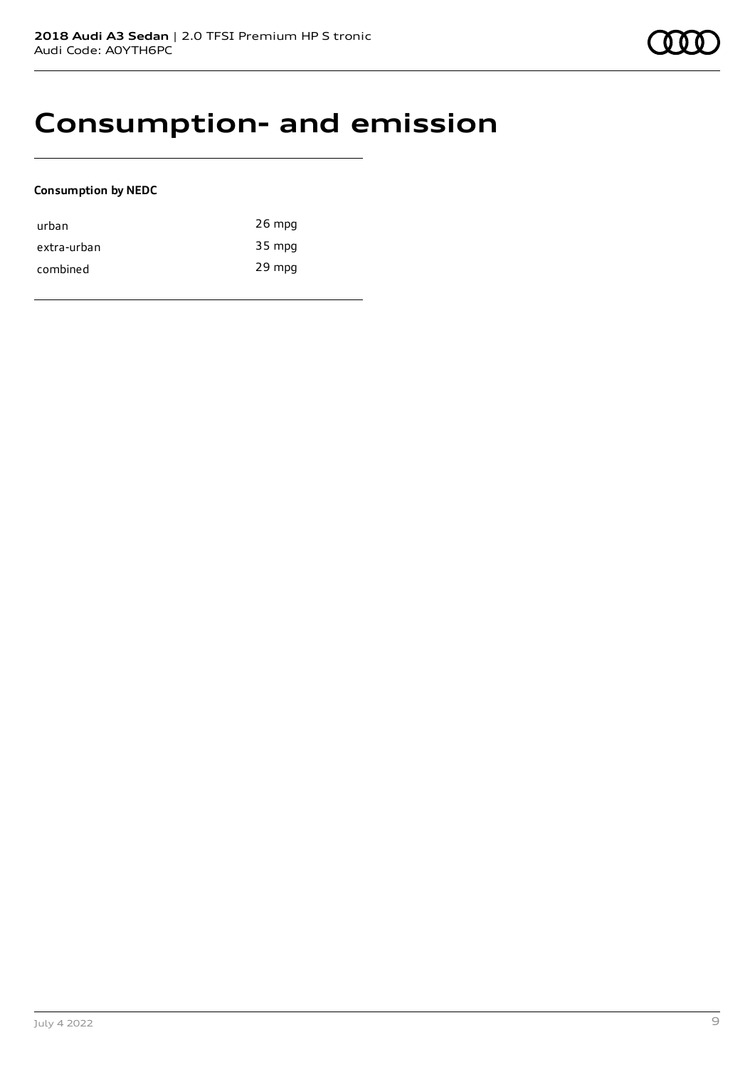### **Consumption- and emission**

### **Consumption by NEDC**

| urban       | $26$ mpg |
|-------------|----------|
| extra-urban | 35 mpg   |
| combined    | 29 mpg   |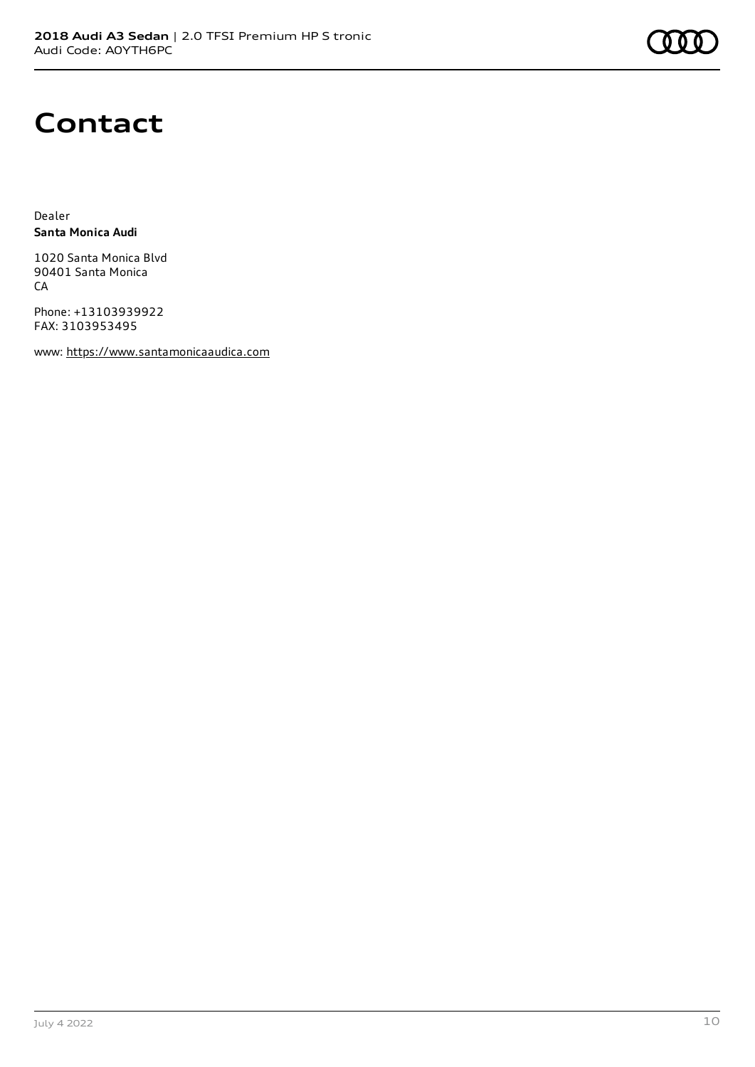### **Contact**

Dealer **Santa Monica Audi**

1020 Santa Monica Blvd 90401 Santa Monica **CA** 

Phone: +13103939922 FAX: 3103953495

www: [https://www.santamonicaaudica.com](https://www.santamonicaaudica.com/)